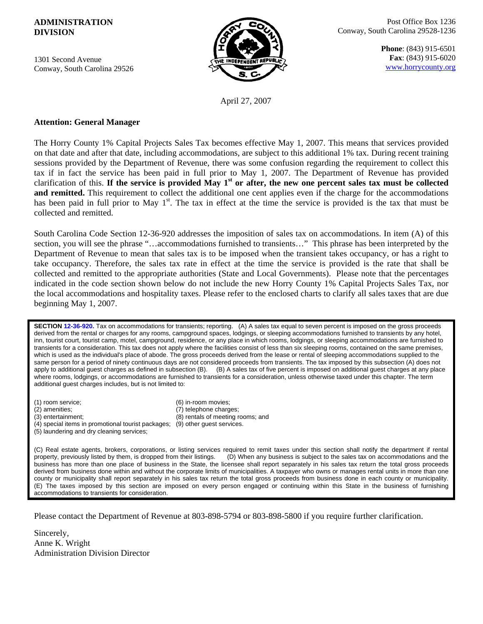## **ADMINISTRATION DIVISION**

1301 Second Avenue Conway, South Carolina 29526



**Phone**: (843) 915-6501 **Fax**: (843) 915-6020 www.horrycounty.org

April 27, 2007

## **Attention: General Manager**

The Horry County 1% Capital Projects Sales Tax becomes effective May 1, 2007. This means that services provided on that date and after that date, including accommodations, are subject to this additional 1% tax. During recent training sessions provided by the Department of Revenue, there was some confusion regarding the requirement to collect this tax if in fact the service has been paid in full prior to May 1, 2007. The Department of Revenue has provided clarification of this. If the service is provided May  $1<sup>st</sup>$  or after, the new one percent sales tax must be collected **and remitted.** This requirement to collect the additional one cent applies even if the charge for the accommodations has been paid in full prior to May  $1<sup>st</sup>$ . The tax in effect at the time the service is provided is the tax that must be collected and remitted.

South Carolina Code Section 12-36-920 addresses the imposition of sales tax on accommodations. In item (A) of this section, you will see the phrase "…accommodations furnished to transients…" This phrase has been interpreted by the Department of Revenue to mean that sales tax is to be imposed when the transient takes occupancy, or has a right to take occupancy. Therefore, the sales tax rate in effect at the time the service is provided is the rate that shall be collected and remitted to the appropriate authorities (State and Local Governments). Please note that the percentages indicated in the code section shown below do not include the new Horry County 1% Capital Projects Sales Tax, nor the local accommodations and hospitality taxes. Please refer to the enclosed charts to clarify all sales taxes that are due beginning May 1, 2007.

**SECTION 12-36-920.** Tax on accommodations for transients; reporting. (A) A sales tax equal to seven percent is imposed on the gross proceeds derived from the rental or charges for any rooms, campground spaces, lodgings, or sleeping accommodations furnished to transients by any hotel, inn, tourist court, tourist camp, motel, campground, residence, or any place in which rooms, lodgings, or sleeping accommodations are furnished to transients for a consideration. This tax does not apply where the facilities consist of less than six sleeping rooms, contained on the same premises, which is used as the individual's place of abode. The gross proceeds derived from the lease or rental of sleeping accommodations supplied to the same person for a period of ninety continuous days are not considered proceeds from transients. The tax imposed by this subsection (A) does not apply to additional guest charges as defined in subsection (B). (B) A sales tax of five percent is imposed on additional guest charges at any place where rooms, lodgings, or accommodations are furnished to transients for a consideration, unless otherwise taxed under this chapter. The term additional guest charges includes, but is not limited to:

- (1) room service; (6) in-room movies;
- 
- 
- (2) amenities; (7) telephone charges; (3) entertainment; (8) rentals of meeting rooms; and
- (4) special items in promotional tourist packages; (9) other guest services. (5) laundering and dry cleaning services;

(C) Real estate agents, brokers, corporations, or listing services required to remit taxes under this section shall notify the department if rental property, previously listed by them, is dropped from their listings. (D) When any business is subject to the sales tax on accommodations and the business has more than one place of business in the State, the licensee shall report separately in his sales tax return the total gross proceeds derived from business done within and without the corporate limits of municipalities. A taxpayer who owns or manages rental units in more than one county or municipality shall report separately in his sales tax return the total gross proceeds from business done in each county or municipality. (E) The taxes imposed by this section are imposed on every person engaged or continuing within this State in the business of furnishing accommodations to transients for consideration.

Please contact the Department of Revenue at 803-898-5794 or 803-898-5800 if you require further clarification.

Sincerely, Anne K. Wright Administration Division Director